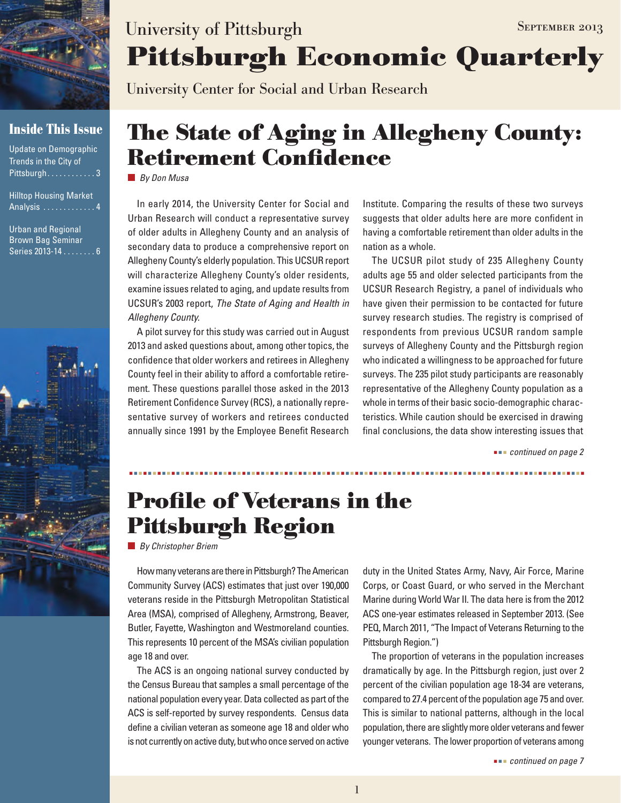

### **Inside This Issue**

| Update on Demographic  |  |
|------------------------|--|
| Trends in the City of  |  |
| Pittsburgh 3           |  |
| Hillton Housing Market |  |

nuusiliy ividi Analysis . . . . . . . . . . . . . 4

Urban and Regional Brown Bag Seminar Series 2013-14......... 6



# **Pittsburgh Economic Quarterly** University of Pittsburgh SEPTEMBER 2013

University Center for Social and Urban Research

# **The State of Aging in Allegheny County: Retirement Confidence**

*By Don Musa*

In early 2014, the University Center for Social and Urban Research will conduct a representative survey of older adults in Allegheny County and an analysis of secondary data to produce a comprehensive report on Allegheny County's elderly population. This UCSUR report will characterize Allegheny County's older residents, examine issues related to aging, and update results from UCSUR's 2003 report, *The State of Aging and Health in Allegheny County.*

A pilot survey for this study was carried out in August 2013 and asked questions about, among other topics, the confidence that older workers and retirees in Allegheny County feel in their ability to afford a comfortable retirement. These questions parallel those asked in the 2013 Retirement Confidence Survey (RCS), a nationally representative survey of workers and retirees conducted annually since 1991 by the Employee Benefit Research

Institute. Comparing the results of these two surveys suggests that older adults here are more confident in having a comfortable retirement than older adults in the nation as a whole.

The UCSUR pilot study of 235 Allegheny County adults age 55 and older selected participants from the UCSUR Research Registry, a panel of individuals who have given their permission to be contacted for future survey research studies. The registry is comprised of respondents from previous UCSUR random sample surveys of Allegheny County and the Pittsburgh region who indicated a willingness to be approached for future surveys. The 235 pilot study participants are reasonably representative of the Allegheny County population as a whole in terms of their basic socio-demographic characteristics. While caution should be exercised in drawing final conclusions, the data show interesting issues that

 *continued on page 2*

# **Profile of Veterans in the Pittsburgh Region**

*By Christopher Briem*

How many veterans are there in Pittsburgh? The American Community Survey (ACS) estimates that just over 190,000 veterans reside in the Pittsburgh Metropolitan Statistical Area (MSA), comprised of Allegheny, Armstrong, Beaver, Butler, Fayette, Washington and Westmoreland counties. This represents 10 percent of the MSA's civilian population age 18 and over.

The ACS is an ongoing national survey conducted by the Census Bureau that samples a small percentage of the national population every year. Data collected as part of the ACS is self-reported by survey respondents. Census data define a civilian veteran as someone age 18 and older who is not currently on active duty, but who once served on active duty in the United States Army, Navy, Air Force, Marine Corps, or Coast Guard, or who served in the Merchant Marine during World War II. The data here is from the 2012 ACS one-year estimates released in September 2013. (See PEQ, March 2011, "The Impact of Veterans Returning to the Pittsburgh Region.")

The proportion of veterans in the population increases dramatically by age. In the Pittsburgh region, just over 2 percent of the civilian population age 18-34 are veterans, compared to 27.4 percent of the population age 75 and over. This is similar to national patterns, although in the local population, there are slightly more older veterans and fewer younger veterans. The lower proportion of veterans among

 *continued on page 7*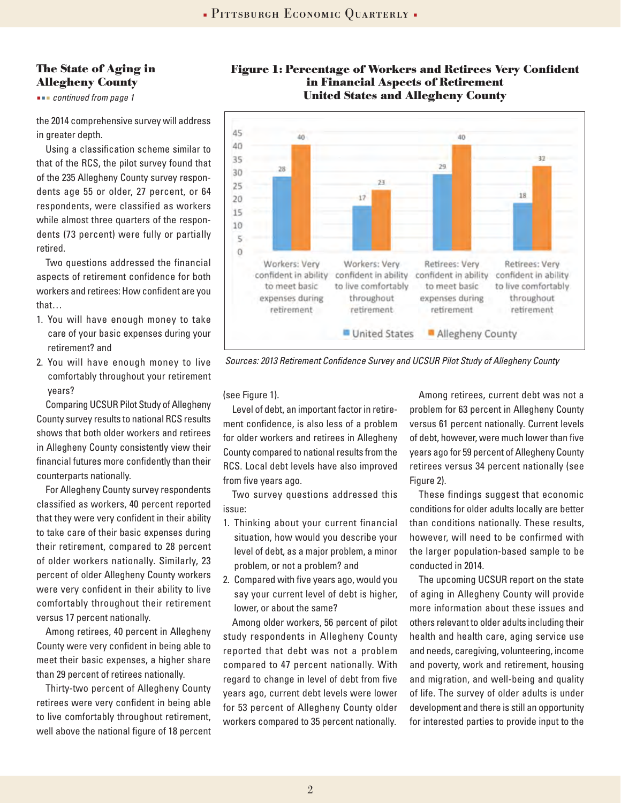#### **The State of Aging in Allegheny County**

 *continued from page 1*

the 2014 comprehensive survey will address in greater depth.

Using a classification scheme similar to that of the RCS, the pilot survey found that of the 235 Allegheny County survey respondents age 55 or older, 27 percent, or 64 respondents, were classified as workers while almost three quarters of the respondents (73 percent) were fully or partially retired.

Two questions addressed the financial aspects of retirement confidence for both workers and retirees: How confident are you that…

- 1. You will have enough money to take care of your basic expenses during your retirement? and
- 2. You will have enough money to live comfortably throughout your retirement years?

Comparing UCSUR Pilot Study of Allegheny County survey results to national RCS results shows that both older workers and retirees in Allegheny County consistently view their financial futures more confidently than their counterparts nationally.

For Allegheny County survey respondents classified as workers, 40 percent reported that they were very confident in their ability to take care of their basic expenses during their retirement, compared to 28 percent of older workers nationally. Similarly, 23 percent of older Allegheny County workers were very confident in their ability to live comfortably throughout their retirement versus 17 percent nationally.

Among retirees, 40 percent in Allegheny County were very confident in being able to meet their basic expenses, a higher share than 29 percent of retirees nationally.

Thirty-two percent of Allegheny County retirees were very confident in being able to live comfortably throughout retirement, well above the national figure of 18 percent

### **Figure 1: Percentage of Workers and Retirees Very Confident in Financial Aspects of Retirement United States and Allegheny County**



*Sources: 2013 Retirement Confidence Survey and UCSUR Pilot Study of Allegheny County*

(see Figure 1).

Level of debt, an important factor in retirement confidence, is also less of a problem for older workers and retirees in Allegheny County compared to national results from the RCS. Local debt levels have also improved from five years ago.

Two survey questions addressed this issue:

- 1. Thinking about your current financial situation, how would you describe your level of debt, as a major problem, a minor problem, or not a problem? and
- 2. Compared with five years ago, would you say your current level of debt is higher, lower, or about the same?

Among older workers, 56 percent of pilot study respondents in Allegheny County reported that debt was not a problem compared to 47 percent nationally. With regard to change in level of debt from five years ago, current debt levels were lower for 53 percent of Allegheny County older workers compared to 35 percent nationally.

Among retirees, current debt was not a problem for 63 percent in Allegheny County versus 61 percent nationally. Current levels of debt, however, were much lower than five years ago for 59 percent of Allegheny County retirees versus 34 percent nationally (see Figure 2).

These findings suggest that economic conditions for older adults locally are better than conditions nationally. These results, however, will need to be confirmed with the larger population-based sample to be conducted in 2014.

The upcoming UCSUR report on the state of aging in Allegheny County will provide more information about these issues and others relevant to older adults including their health and health care, aging service use and needs, caregiving, volunteering, income and poverty, work and retirement, housing and migration, and well-being and quality of life. The survey of older adults is under development and there is still an opportunity for interested parties to provide input to the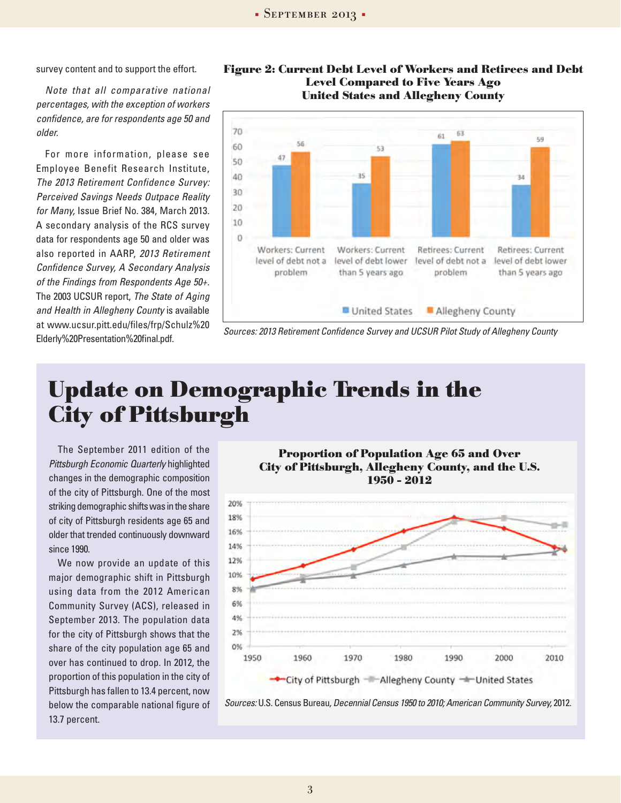survey content and to support the effort.

*Note that all comparative national percentages, with the exception of workers confidence, are for respondents age 50 and older.* 

For more information, please see Employee Benefit Research Institute, *The 2013 Retirement Confidence Survey: Perceived Savings Needs Outpace Reality for Many,* Issue Brief No. 384, March 2013. A secondary analysis of the RCS survey data for respondents age 50 and older was also reported in AARP, *2013 Retirement Confidence Survey, A Secondary Analysis of the Findings from Respondents Age 50+.* The 2003 UCSUR report, *The State of Aging and Health in Allegheny County* is available at www.ucsur.pitt.edu/files/frp/Schulz%20 Elderly%20Presentation%20final.pdf.





*Sources: 2013 Retirement Confidence Survey and UCSUR Pilot Study of Allegheny County*

# **Update on Demographic Trends in the City of Pittsburgh**

The September 2011 edition of the *Pittsburgh Economic Quarterly* highlighted changes in the demographic composition of the city of Pittsburgh. One of the most striking demographic shifts was in the share of city of Pittsburgh residents age 65 and older that trended continuously downward since 1990.

We now provide an update of this major demographic shift in Pittsburgh using data from the 2012 American Community Survey (ACS), released in September 2013. The population data for the city of Pittsburgh shows that the share of the city population age 65 and over has continued to drop. In 2012, the proportion of this population in the city of Pittsburgh has fallen to 13.4 percent, now below the comparable national figure of 13.7 percent.

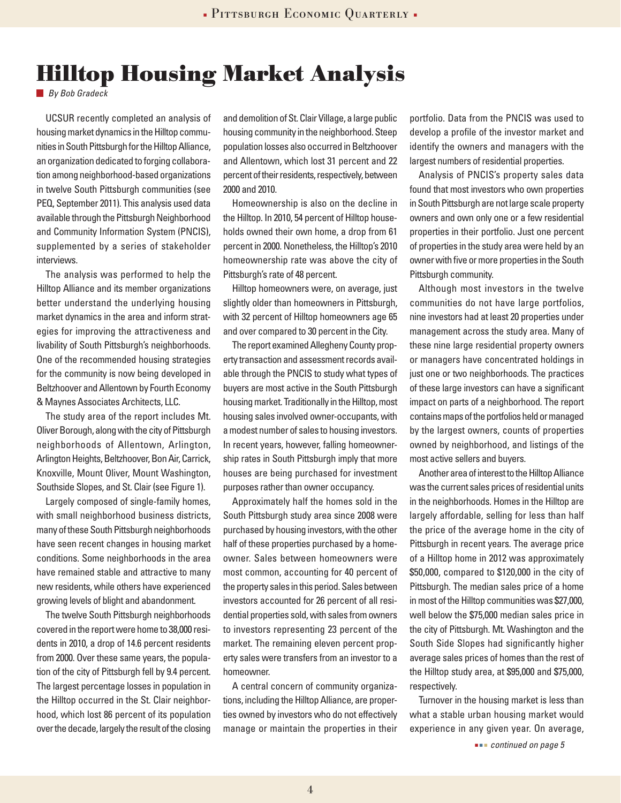## **Hilltop Housing Market Analysis**

*By Bob Gradeck*

UCSUR recently completed an analysis of housing market dynamics in the Hilltop communities in South Pittsburgh for the Hilltop Alliance, an organization dedicated to forging collaboration among neighborhood-based organizations in twelve South Pittsburgh communities (see PEQ, September 2011). This analysis used data available through the Pittsburgh Neighborhood and Community Information System (PNCIS), supplemented by a series of stakeholder interviews.

The analysis was performed to help the Hilltop Alliance and its member organizations better understand the underlying housing market dynamics in the area and inform strategies for improving the attractiveness and livability of South Pittsburgh's neighborhoods. One of the recommended housing strategies for the community is now being developed in Beltzhoover and Allentown by Fourth Economy & Maynes Associates Architects, LLC.

The study area of the report includes Mt. Oliver Borough, along with the city of Pittsburgh neighborhoods of Allentown, Arlington, Arlington Heights, Beltzhoover, Bon Air, Carrick, Knoxville, Mount Oliver, Mount Washington, Southside Slopes, and St. Clair (see Figure 1).

Largely composed of single-family homes, with small neighborhood business districts, many of these South Pittsburgh neighborhoods have seen recent changes in housing market conditions. Some neighborhoods in the area have remained stable and attractive to many new residents, while others have experienced growing levels of blight and abandonment.

The twelve South Pittsburgh neighborhoods covered in the report were home to 38,000 residents in 2010, a drop of 14.6 percent residents from 2000. Over these same years, the population of the city of Pittsburgh fell by 9.4 percent. The largest percentage losses in population in the Hilltop occurred in the St. Clair neighborhood, which lost 86 percent of its population over the decade, largely the result of the closing

and demolition of St. Clair Village, a large public housing community in the neighborhood. Steep population losses also occurred in Beltzhoover and Allentown, which lost 31 percent and 22 percent of their residents, respectively, between 2000 and 2010.

Homeownership is also on the decline in the Hilltop. In 2010, 54 percent of Hilltop households owned their own home, a drop from 61 percent in 2000. Nonetheless, the Hilltop's 2010 homeownership rate was above the city of Pittsburgh's rate of 48 percent.

Hilltop homeowners were, on average, just slightly older than homeowners in Pittsburgh, with 32 percent of Hilltop homeowners age 65 and over compared to 30 percent in the City.

The report examined Allegheny County property transaction and assessment records available through the PNCIS to study what types of buyers are most active in the South Pittsburgh housing market. Traditionally in the Hilltop, most housing sales involved owner-occupants, with a modest number of sales to housing investors. In recent years, however, falling homeownership rates in South Pittsburgh imply that more houses are being purchased for investment purposes rather than owner occupancy.

Approximately half the homes sold in the South Pittsburgh study area since 2008 were purchased by housing investors, with the other half of these properties purchased by a homeowner. Sales between homeowners were most common, accounting for 40 percent of the property sales in this period. Sales between investors accounted for 26 percent of all residential properties sold, with sales from owners to investors representing 23 percent of the market. The remaining eleven percent property sales were transfers from an investor to a homeowner.

A central concern of community organizations, including the Hilltop Alliance, are properties owned by investors who do not effectively manage or maintain the properties in their portfolio. Data from the PNCIS was used to develop a profile of the investor market and identify the owners and managers with the largest numbers of residential properties.

Analysis of PNCIS's property sales data found that most investors who own properties in South Pittsburgh are not large scale property owners and own only one or a few residential properties in their portfolio. Just one percent of properties in the study area were held by an owner with five or more properties in the South Pittsburgh community.

Although most investors in the twelve communities do not have large portfolios, nine investors had at least 20 properties under management across the study area. Many of these nine large residential property owners or managers have concentrated holdings in just one or two neighborhoods. The practices of these large investors can have a significant impact on parts of a neighborhood. The report contains maps of the portfolios held or managed by the largest owners, counts of properties owned by neighborhood, and listings of the most active sellers and buyers.

Another area of interest to the Hilltop Alliance was the current sales prices of residential units in the neighborhoods. Homes in the Hilltop are largely affordable, selling for less than half the price of the average home in the city of Pittsburgh in recent years. The average price of a Hilltop home in 2012 was approximately \$50,000, compared to \$120,000 in the city of Pittsburgh. The median sales price of a home in most of the Hilltop communities was \$27,000, well below the \$75,000 median sales price in the city of Pittsburgh. Mt. Washington and the South Side Slopes had significantly higher average sales prices of homes than the rest of the Hilltop study area, at \$95,000 and \$75,000, respectively.

Turnover in the housing market is less than what a stable urban housing market would experience in any given year. On average,

 *continued on page 5*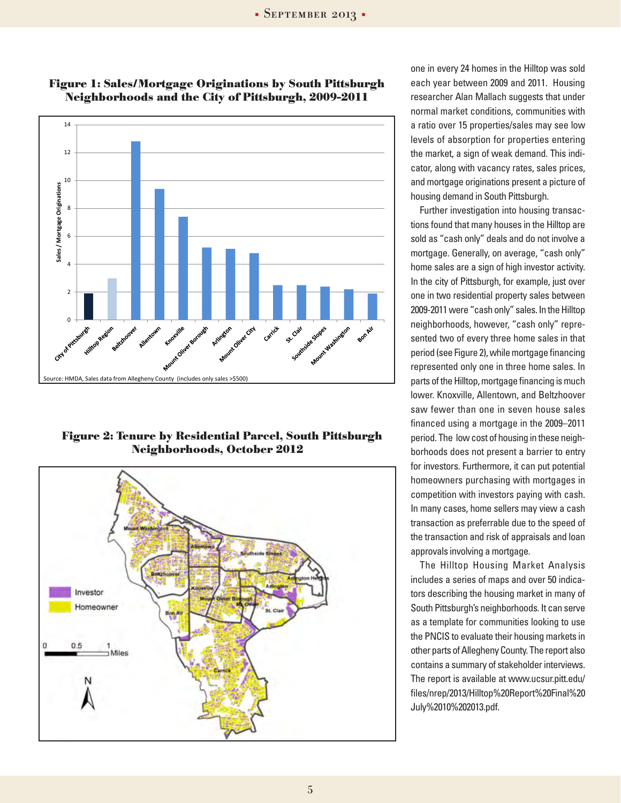

**Figure 1: Sales/Mortgage Originations by South Pittsburgh Neighborhoods and the City of Pittsburgh, 2009-2011**

**Figure 2: Tenure by Residential Parcel, South Pittsburgh Neighborhoods, October 2012**



one in every 24 homes in the Hilltop was sold each year between 2009 and 2011. Housing researcher Alan Mallach suggests that under normal market conditions, communities with a ratio over 15 properties/sales may see low levels of absorption for properties entering the market, a sign of weak demand. This indicator, along with vacancy rates, sales prices, and mortgage originations present a picture of housing demand in South Pittsburgh.

Further investigation into housing transactions found that many houses in the Hilltop are sold as "cash only" deals and do not involve a mortgage. Generally, on average, "cash only" home sales are a sign of high investor activity. In the city of Pittsburgh, for example, just over one in two residential property sales between 2009-2011 were "cash only" sales. In the Hilltop neighborhoods, however, "cash only" represented two of every three home sales in that period (see Figure 2), while mortgage financing represented only one in three home sales. In parts of the Hilltop, mortgage financing is much lower. Knoxville, Allentown, and Beltzhoover saw fewer than one in seven house sales financed using a mortgage in the 2009–2011 period. The low cost of housing in these neighborhoods does not present a barrier to entry for investors. Furthermore, it can put potential homeowners purchasing with mortgages in competition with investors paying with cash. In many cases, home sellers may view a cash transaction as preferrable due to the speed of the transaction and risk of appraisals and loan approvals involving a mortgage.

The Hilltop Housing Market Analysis includes a series of maps and over 50 indicators describing the housing market in many of South Pittsburgh's neighborhoods. It can serve as a template for communities looking to use the PNCIS to evaluate their housing markets in other parts of Allegheny County. The report also contains a summary of stakeholder interviews. The report is available at www.ucsur.pitt.edu/ files/nrep/2013/Hilltop%20Report%20Final%20 July%2010%202013.pdf.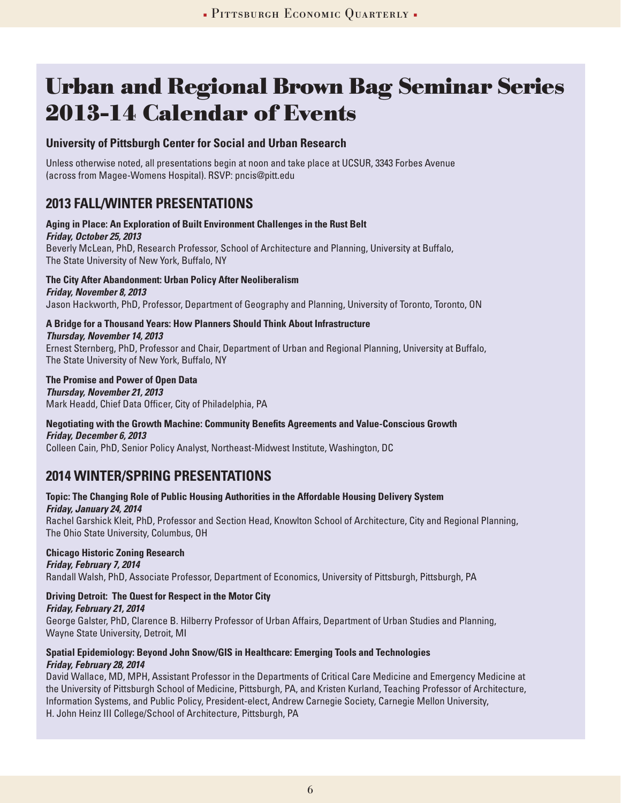# **Urban and Regional Brown Bag Seminar Series 2013-14 Calendar of Events**

### **University of Pittsburgh Center for Social and Urban Research**

Unless otherwise noted, all presentations begin at noon and take place at UCSUR, 3343 Forbes Avenue (across from Magee-Womens Hospital). RSVP: pncis@pitt.edu

### **2013 Fall/Winter Presentations**

#### **Aging in Place: An Exploration of Built Environment Challenges in the Rust Belt** *Friday, October 25, 2013* Beverly McLean, PhD, Research Professor, School of Architecture and Planning, University at Buffalo, The State University of New York, Buffalo, NY

**The City After Abandonment: Urban Policy After Neoliberalism** *Friday, November 8, 2013* Jason Hackworth, PhD, Professor, Department of Geography and Planning, University of Toronto, Toronto, ON

**A Bridge for a Thousand Years: How Planners Should Think About Infrastructure**  *Thursday, November 14, 2013*

Ernest Sternberg, PhD, Professor and Chair, Department of Urban and Regional Planning, University at Buffalo, The State University of New York, Buffalo, NY

#### **The Promise and Power of Open Data** *Thursday, November 21, 2013*  Mark Headd, Chief Data Officer, City of Philadelphia, PA

#### **Negotiating with the Growth Machine: Community Benefits Agreements and Value-Conscious Growth** *Friday, December 6, 2013*

Colleen Cain, PhD, Senior Policy Analyst, Northeast-Midwest Institute, Washington, DC

## **2014 Winter/Spring Presentations**

#### **Topic: The Changing Role of Public Housing Authorities in the Affordable Housing Delivery System** *Friday, January 24, 2014*

Rachel Garshick Kleit, PhD, Professor and Section Head, Knowlton School of Architecture, City and Regional Planning, The Ohio State University, Columbus, OH

### **Chicago Historic Zoning Research**

*Friday, February 7, 2014*  Randall Walsh, PhD, Associate Professor, Department of Economics, University of Pittsburgh, Pittsburgh, PA

### **Driving Detroit: The Quest for Respect in the Motor City**

*Friday, February 21, 2014*

George Galster, PhD, Clarence B. Hilberry Professor of Urban Affairs, Department of Urban Studies and Planning, Wayne State University, Detroit, MI

#### **Spatial Epidemiology: Beyond John Snow/GIS in Healthcare: Emerging Tools and Technologies** *Friday, February 28, 2014*

David Wallace, MD, MPH, Assistant Professor in the Departments of Critical Care Medicine and Emergency Medicine at the University of Pittsburgh School of Medicine, Pittsburgh, PA, and Kristen Kurland, Teaching Professor of Architecture, Information Systems, and Public Policy, President-elect, Andrew Carnegie Society, Carnegie Mellon University, H. John Heinz III College/School of Architecture, Pittsburgh, PA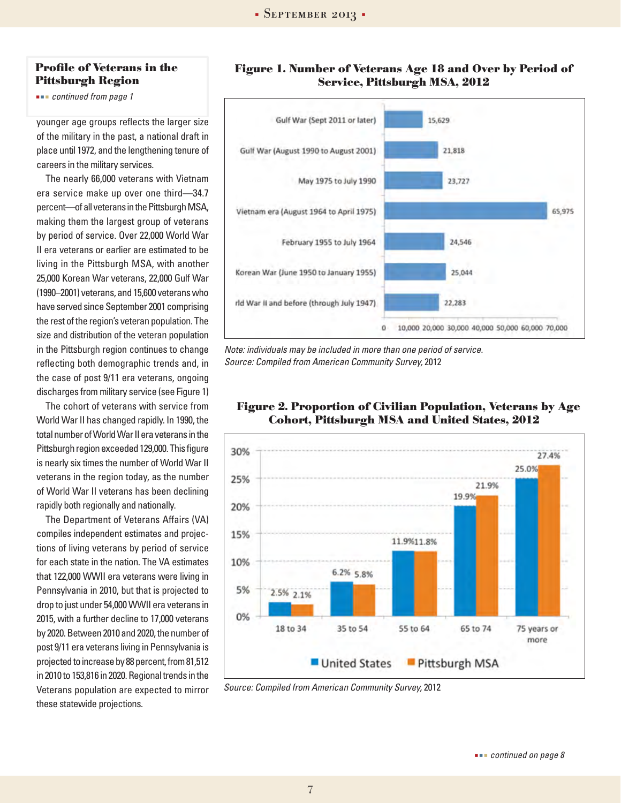#### **Profile of Veterans in the Pittsburgh Region**

 *continued from page 1*

younger age groups reflects the larger size of the military in the past, a national draft in place until 1972, and the lengthening tenure of careers in the military services.

The nearly 66,000 veterans with Vietnam era service make up over one third—34.7 percent—of all veterans in the Pittsburgh MSA, making them the largest group of veterans by period of service. Over 22,000 World War II era veterans or earlier are estimated to be living in the Pittsburgh MSA, with another 25,000 Korean War veterans, 22,000 Gulf War (1990–2001) veterans, and 15,600 veterans who have served since September 2001 comprising the rest of the region's veteran population. The size and distribution of the veteran population in the Pittsburgh region continues to change reflecting both demographic trends and, in the case of post 9/11 era veterans, ongoing discharges from military service (see Figure 1)

The cohort of veterans with service from World War II has changed rapidly. In 1990, the total number of World War II era veterans in the Pittsburgh region exceeded 129,000. This figure is nearly six times the number of World War II veterans in the region today, as the number of World War II veterans has been declining rapidly both regionally and nationally.

The Department of Veterans Affairs (VA) compiles independent estimates and projections of living veterans by period of service for each state in the nation. The VA estimates that 122,000 WWII era veterans were living in Pennsylvania in 2010, but that is projected to drop to just under 54,000 WWII era veterans in 2015, with a further decline to 17,000 veterans by 2020. Between 2010 and 2020, the number of post 9/11 era veterans living in Pennsylvania is projected to increase by 88 percent, from 81,512 in 2010 to 153,816 in 2020. Regional trends in the Veterans population are expected to mirror these statewide projections.





*Note: individuals may be included in more than one period of service. Source: Compiled from American Community Survey,* 2012



#### **Figure 2. Proportion of Civilian Population, Veterans by Age Cohort, Pittsburgh MSA and United States, 2012**

*Source: Compiled from American Community Survey,* 2012